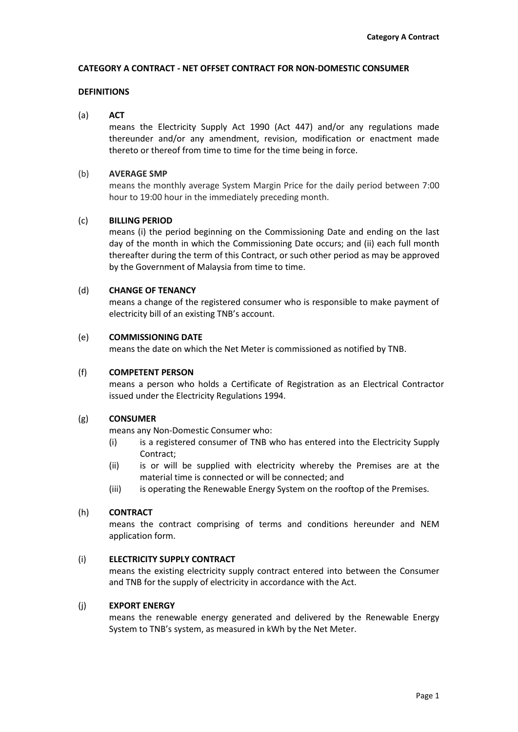#### **CATEGORY A CONTRACT - NET OFFSET CONTRACT FOR NON-DOMESTIC CONSUMER**

## **DEFINITIONS**

#### (a) **ACT**

means the Electricity Supply Act 1990 (Act 447) and/or any regulations made thereunder and/or any amendment, revision, modification or enactment made thereto or thereof from time to time for the time being in force.

#### (b) **AVERAGE SMP**

means the monthly average System Margin Price for the daily period between 7:00 hour to 19:00 hour in the immediately preceding month.

#### (c) **BILLING PERIOD**

means (i) the period beginning on the Commissioning Date and ending on the last day of the month in which the Commissioning Date occurs; and (ii) each full month thereafter during the term of this Contract, or such other period as may be approved by the Government of Malaysia from time to time.

#### (d) **CHANGE OF TENANCY**

means a change of the registered consumer who is responsible to make payment of electricity bill of an existing TNB's account.

#### (e) **COMMISSIONING DATE**

means the date on which the Net Meter is commissioned as notified by TNB.

#### (f) **COMPETENT PERSON**

means a person who holds a Certificate of Registration as an Electrical Contractor issued under the Electricity Regulations 1994.

#### (g) **CONSUMER**

means any Non-Domestic Consumer who:

- (i) is a registered consumer of TNB who has entered into the Electricity Supply Contract;
- (ii) is or will be supplied with electricity whereby the Premises are at the material time is connected or will be connected; and
- (iii) is operating the Renewable Energy System on the rooftop of the Premises.

## (h) **CONTRACT**

means the contract comprising of terms and conditions hereunder and NEM application form.

## (i) **ELECTRICITY SUPPLY CONTRACT**

means the existing electricity supply contract entered into between the Consumer and TNB for the supply of electricity in accordance with the Act.

## (j) **EXPORT ENERGY**

means the renewable energy generated and delivered by the Renewable Energy System to TNB's system, as measured in kWh by the Net Meter.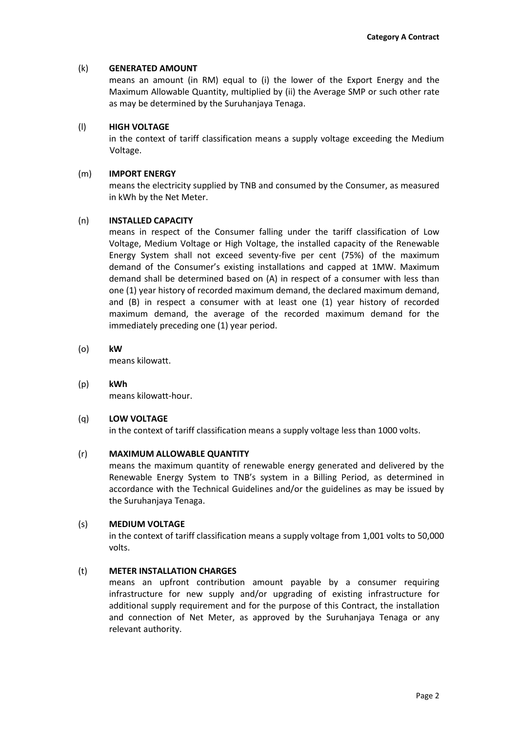## (k) **GENERATED AMOUNT**

means an amount (in RM) equal to (i) the lower of the Export Energy and the Maximum Allowable Quantity, multiplied by (ii) the Average SMP or such other rate as may be determined by the Suruhanjaya Tenaga.

## (l) **HIGH VOLTAGE**

in the context of tariff classification means a supply voltage exceeding the Medium Voltage.

## (m) **IMPORT ENERGY**

means the electricity supplied by TNB and consumed by the Consumer, as measured in kWh by the Net Meter.

# (n) **INSTALLED CAPACITY**

means in respect of the Consumer falling under the tariff classification of Low Voltage, Medium Voltage or High Voltage, the installed capacity of the Renewable Energy System shall not exceed seventy-five per cent (75%) of the maximum demand of the Consumer's existing installations and capped at 1MW. Maximum demand shall be determined based on (A) in respect of a consumer with less than one (1) year history of recorded maximum demand, the declared maximum demand, and (B) in respect a consumer with at least one (1) year history of recorded maximum demand, the average of the recorded maximum demand for the immediately preceding one (1) year period.

(o) **kW**

means kilowatt.

(p) **kWh** means kilowatt-hour.

(q) **LOW VOLTAGE** in the context of tariff classification means a supply voltage less than 1000 volts.

# (r) **MAXIMUM ALLOWABLE QUANTITY**

means the maximum quantity of renewable energy generated and delivered by the Renewable Energy System to TNB's system in a Billing Period, as determined in accordance with the Technical Guidelines and/or the guidelines as may be issued by the Suruhanjaya Tenaga.

## (s) **MEDIUM VOLTAGE**

in the context of tariff classification means a supply voltage from 1,001 volts to 50,000 volts.

# (t) **METER INSTALLATION CHARGES**

means an upfront contribution amount payable by a consumer requiring infrastructure for new supply and/or upgrading of existing infrastructure for additional supply requirement and for the purpose of this Contract, the installation and connection of Net Meter, as approved by the Suruhanjaya Tenaga or any relevant authority.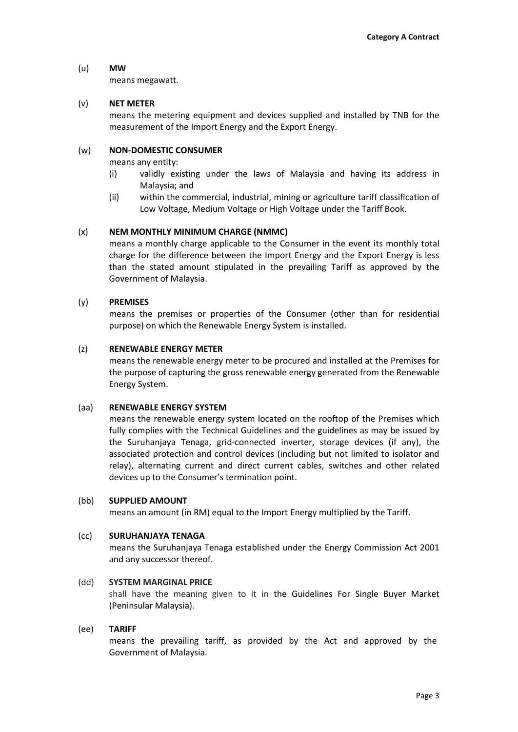## (u) **MW**

means megawatt.

# (v) **NET METER**

means the metering equipment and devices supplied and installed by TNB for the measurement of the Import Energy and the Export Energy.

## (w) **NON-DOMESTIC CONSUMER**

means any entity:

- (i) validly existing under the laws of Malaysia and having its address in Malaysia; and
- (ii) within the commercial, industrial, mining or agriculture tariff classification of Low Voltage, Medium Voltage or High Voltage under the Tariff Book.

# (x) **NEM MONTHLY MINIMUM CHARGE (NMMC)**

means a monthly charge applicable to the Consumer in the event its monthly total charge for the difference between the Import Energy and the Export Energy is less than the stated amount stipulated in the prevailing Tariff as approved by the Government of Malaysia.

## (y) **PREMISES**

means the premises or properties of the Consumer (other than for residential purpose) on which the Renewable Energy System is installed.

## (z) **RENEWABLE ENERGY METER**

means the renewable energy meter to be procured and installed at the Premises for the purpose of capturing the gross renewable energy generated from the Renewable Energy System.

## (aa) **RENEWABLE ENERGY SYSTEM**

means the renewable energy system located on the rooftop of the Premises which fully complies with the Technical Guidelines and the guidelines as may be issued by the Suruhanjaya Tenaga, grid-connected inverter, storage devices (if any), the associated protection and control devices (including but not limited to isolator and relay), alternating current and direct current cables, switches and other related devices up to the Consumer's termination point.

## (bb) **SUPPLIED AMOUNT**

means an amount (in RM) equal to the Import Energy multiplied by the Tariff.

## (cc) **SURUHANJAYA TENAGA**

means the Suruhanjaya Tenaga established under the Energy Commission Act 2001 and any successor thereof.

## (dd) **SYSTEM MARGINAL PRICE**

shall have the meaning given to it in the Guidelines For Single Buyer Market (Peninsular Malaysia).

## (ee) **TARIFF**

means the prevailing tariff, as provided by the Act and approved by the Government of Malaysia.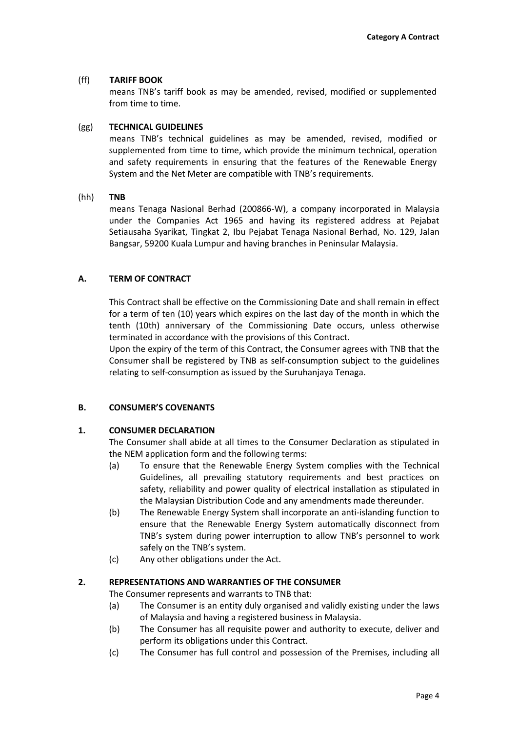## (ff) **TARIFF BOOK**

means TNB's tariff book as may be amended, revised, modified or supplemented from time to time.

## (gg) **TECHNICAL GUIDELINES**

means TNB's technical guidelines as may be amended, revised, modified or supplemented from time to time, which provide the minimum technical, operation and safety requirements in ensuring that the features of the Renewable Energy System and the Net Meter are compatible with TNB's requirements.

# (hh) **TNB**

means Tenaga Nasional Berhad (200866-W), a company incorporated in Malaysia under the Companies Act 1965 and having its registered address at Pejabat Setiausaha Syarikat, Tingkat 2, Ibu Pejabat Tenaga Nasional Berhad, No. 129, Jalan Bangsar, 59200 Kuala Lumpur and having branches in Peninsular Malaysia.

# **A. TERM OF CONTRACT**

This Contract shall be effective on the Commissioning Date and shall remain in effect for a term of ten (10) years which expires on the last day of the month in which the tenth (10th) anniversary of the Commissioning Date occurs, unless otherwise terminated in accordance with the provisions of this Contract.

Upon the expiry of the term of this Contract, the Consumer agrees with TNB that the Consumer shall be registered by TNB as self-consumption subject to the guidelines relating to self-consumption as issued by the Suruhanjaya Tenaga.

# **B. CONSUMER'S COVENANTS**

# **1. CONSUMER DECLARATION**

The Consumer shall abide at all times to the Consumer Declaration as stipulated in the NEM application form and the following terms:

- (a) To ensure that the Renewable Energy System complies with the Technical Guidelines, all prevailing statutory requirements and best practices on safety, reliability and power quality of electrical installation as stipulated in the Malaysian Distribution Code and any amendments made thereunder.
- (b) The Renewable Energy System shall incorporate an anti-islanding function to ensure that the Renewable Energy System automatically disconnect from TNB's system during power interruption to allow TNB's personnel to work safely on the TNB's system.
- (c) Any other obligations under the Act.

## **2. REPRESENTATIONS AND WARRANTIES OF THE CONSUMER**

The Consumer represents and warrants to TNB that:

- (a) The Consumer is an entity duly organised and validly existing under the laws of Malaysia and having a registered business in Malaysia.
- (b) The Consumer has all requisite power and authority to execute, deliver and perform its obligations under this Contract.
- (c) The Consumer has full control and possession of the Premises, including all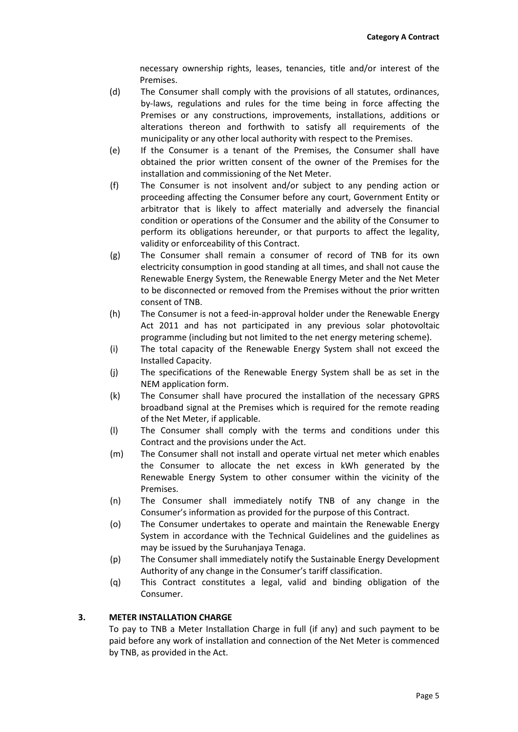necessary ownership rights, leases, tenancies, title and/or interest of the Premises.

- (d) The Consumer shall comply with the provisions of all statutes, ordinances, by-laws, regulations and rules for the time being in force affecting the Premises or any constructions, improvements, installations, additions or alterations thereon and forthwith to satisfy all requirements of the municipality or any other local authority with respect to the Premises.
- (e) If the Consumer is a tenant of the Premises, the Consumer shall have obtained the prior written consent of the owner of the Premises for the installation and commissioning of the Net Meter.
- (f) The Consumer is not insolvent and/or subject to any pending action or proceeding affecting the Consumer before any court, Government Entity or arbitrator that is likely to affect materially and adversely the financial condition or operations of the Consumer and the ability of the Consumer to perform its obligations hereunder, or that purports to affect the legality, validity or enforceability of this Contract.
- (g) The Consumer shall remain a consumer of record of TNB for its own electricity consumption in good standing at all times, and shall not cause the Renewable Energy System, the Renewable Energy Meter and the Net Meter to be disconnected or removed from the Premises without the prior written consent of TNB.
- (h) The Consumer is not a feed-in-approval holder under the Renewable Energy Act 2011 and has not participated in any previous solar photovoltaic programme (including but not limited to the net energy metering scheme).
- (i) The total capacity of the Renewable Energy System shall not exceed the Installed Capacity.
- (j) The specifications of the Renewable Energy System shall be as set in the NEM application form.
- (k) The Consumer shall have procured the installation of the necessary GPRS broadband signal at the Premises which is required for the remote reading of the Net Meter, if applicable.
- (l) The Consumer shall comply with the terms and conditions under this Contract and the provisions under the Act.
- (m) The Consumer shall not install and operate virtual net meter which enables the Consumer to allocate the net excess in kWh generated by the Renewable Energy System to other consumer within the vicinity of the Premises.
- (n) The Consumer shall immediately notify TNB of any change in the Consumer's information as provided for the purpose of this Contract.
- (o) The Consumer undertakes to operate and maintain the Renewable Energy System in accordance with the Technical Guidelines and the guidelines as may be issued by the Suruhanjaya Tenaga.
- (p) The Consumer shall immediately notify the Sustainable Energy Development Authority of any change in the Consumer's tariff classification.
- (q) This Contract constitutes a legal, valid and binding obligation of the Consumer.

# **3. METER INSTALLATION CHARGE**

To pay to TNB a Meter Installation Charge in full (if any) and such payment to be paid before any work of installation and connection of the Net Meter is commenced by TNB, as provided in the Act.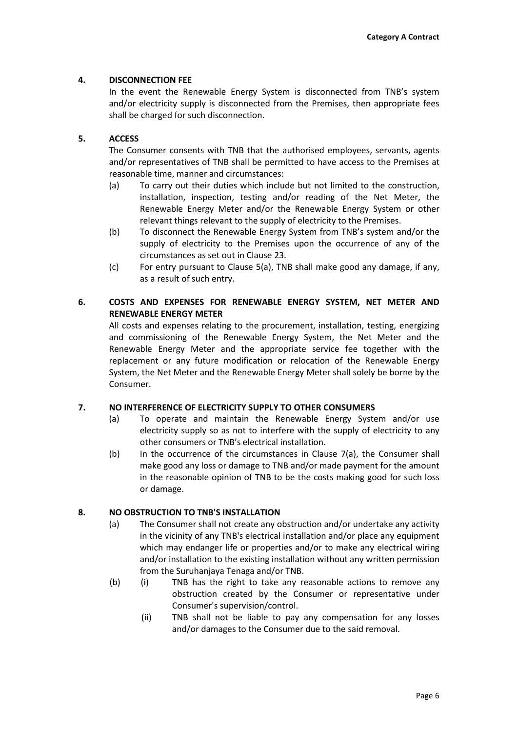# **4. DISCONNECTION FEE**

In the event the Renewable Energy System is disconnected from TNB's system and/or electricity supply is disconnected from the Premises, then appropriate fees shall be charged for such disconnection.

# **5. ACCESS**

The Consumer consents with TNB that the authorised employees, servants, agents and/or representatives of TNB shall be permitted to have access to the Premises at reasonable time, manner and circumstances:

- (a) To carry out their duties which include but not limited to the construction, installation, inspection, testing and/or reading of the Net Meter, the Renewable Energy Meter and/or the Renewable Energy System or other relevant things relevant to the supply of electricity to the Premises.
- (b) To disconnect the Renewable Energy System from TNB's system and/or the supply of electricity to the Premises upon the occurrence of any of the circumstances as set out in Clause 23.
- (c) For entry pursuant to Clause 5(a), TNB shall make good any damage, if any, as a result of such entry.

# **6. COSTS AND EXPENSES FOR RENEWABLE ENERGY SYSTEM, NET METER AND RENEWABLE ENERGY METER**

All costs and expenses relating to the procurement, installation, testing, energizing and commissioning of the Renewable Energy System, the Net Meter and the Renewable Energy Meter and the appropriate service fee together with the replacement or any future modification or relocation of the Renewable Energy System, the Net Meter and the Renewable Energy Meter shall solely be borne by the Consumer.

## **7. NO INTERFERENCE OF ELECTRICITY SUPPLY TO OTHER CONSUMERS**

- (a) To operate and maintain the Renewable Energy System and/or use electricity supply so as not to interfere with the supply of electricity to any other consumers or TNB's electrical installation.
- (b) In the occurrence of the circumstances in Clause 7(a), the Consumer shall make good any loss or damage to TNB and/or made payment for the amount in the reasonable opinion of TNB to be the costs making good for such loss or damage.

## **8. NO OBSTRUCTION TO TNB'S INSTALLATION**

- (a) The Consumer shall not create any obstruction and/or undertake any activity in the vicinity of any TNB's electrical installation and/or place any equipment which may endanger life or properties and/or to make any electrical wiring and/or installation to the existing installation without any written permission from the Suruhanjaya Tenaga and/or TNB.
- (b) (i) TNB has the right to take any reasonable actions to remove any obstruction created by the Consumer or representative under Consumer's supervision/control.
	- (ii) TNB shall not be liable to pay any compensation for any losses and/or damages to the Consumer due to the said removal.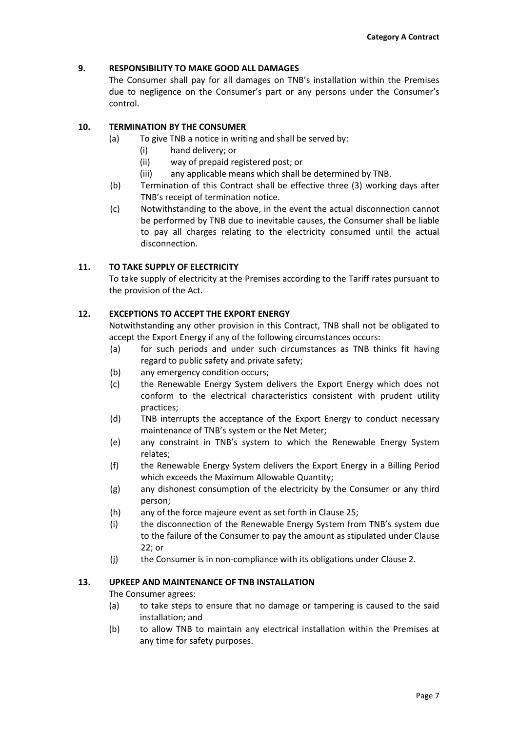## **9. RESPONSIBILITY TO MAKE GOOD ALL DAMAGES**

The Consumer shall pay for all damages on TNB's installation within the Premises due to negligence on the Consumer's part or any persons under the Consumer's control.

## **10. TERMINATION BY THE CONSUMER**

- (a) To give TNB a notice in writing and shall be served by:
	- (i) hand delivery; or
	- (ii) way of prepaid registered post; or
	- (iii) any applicable means which shall be determined by TNB.
- (b) Termination of this Contract shall be effective three (3) working days after TNB's receipt of termination notice.
- (c) Notwithstanding to the above, in the event the actual disconnection cannot be performed by TNB due to inevitable causes, the Consumer shall be liable to pay all charges relating to the electricity consumed until the actual disconnection.

# **11. TO TAKE SUPPLY OF ELECTRICITY**

To take supply of electricity at the Premises according to the Tariff rates pursuant to the provision of the Act.

## **12. EXCEPTIONS TO ACCEPT THE EXPORT ENERGY**

Notwithstanding any other provision in this Contract, TNB shall not be obligated to accept the Export Energy if any of the following circumstances occurs:

- (a) for such periods and under such circumstances as TNB thinks fit having regard to public safety and private safety;
- (b) any emergency condition occurs;
- (c) the Renewable Energy System delivers the Export Energy which does not conform to the electrical characteristics consistent with prudent utility practices;
- (d) TNB interrupts the acceptance of the Export Energy to conduct necessary maintenance of TNB's system or the Net Meter;
- (e) any constraint in TNB's system to which the Renewable Energy System relates;
- (f) the Renewable Energy System delivers the Export Energy in a Billing Period which exceeds the Maximum Allowable Quantity;
- (g) any dishonest consumption of the electricity by the Consumer or any third person;
- (h) any of the force majeure event as set forth in Clause 25;
- (i) the disconnection of the Renewable Energy System from TNB's system due to the failure of the Consumer to pay the amount as stipulated under Clause 22; or
- (j) the Consumer is in non-compliance with its obligations under Clause 2.

## **13. UPKEEP AND MAINTENANCE OF TNB INSTALLATION**

The Consumer agrees:

- (a) to take steps to ensure that no damage or tampering is caused to the said installation; and
- (b) to allow TNB to maintain any electrical installation within the Premises at any time for safety purposes.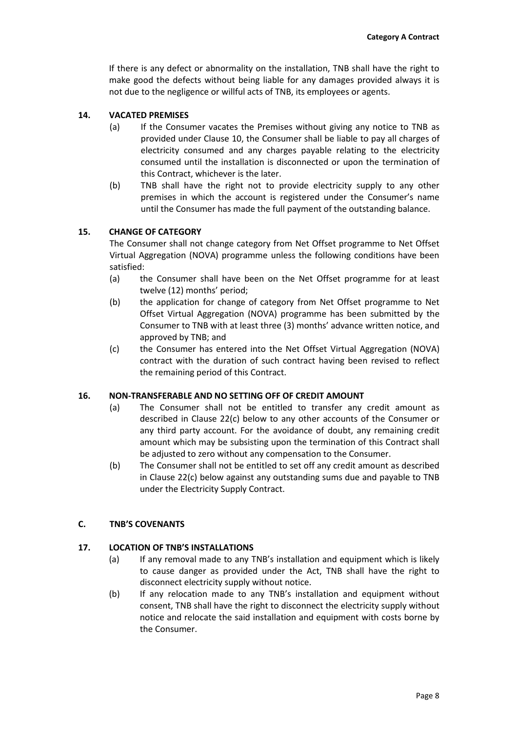If there is any defect or abnormality on the installation, TNB shall have the right to make good the defects without being liable for any damages provided always it is not due to the negligence or willful acts of TNB, its employees or agents.

# **14. VACATED PREMISES**

- (a) If the Consumer vacates the Premises without giving any notice to TNB as provided under Clause 10, the Consumer shall be liable to pay all charges of electricity consumed and any charges payable relating to the electricity consumed until the installation is disconnected or upon the termination of this Contract, whichever is the later.
- (b) TNB shall have the right not to provide electricity supply to any other premises in which the account is registered under the Consumer's name until the Consumer has made the full payment of the outstanding balance.

## **15. CHANGE OF CATEGORY**

The Consumer shall not change category from Net Offset programme to Net Offset Virtual Aggregation (NOVA) programme unless the following conditions have been satisfied:

- (a) the Consumer shall have been on the Net Offset programme for at least twelve (12) months' period;
- (b) the application for change of category from Net Offset programme to Net Offset Virtual Aggregation (NOVA) programme has been submitted by the Consumer to TNB with at least three (3) months' advance written notice, and approved by TNB; and
- (c) the Consumer has entered into the Net Offset Virtual Aggregation (NOVA) contract with the duration of such contract having been revised to reflect the remaining period of this Contract.

## **16. NON-TRANSFERABLE AND NO SETTING OFF OF CREDIT AMOUNT**

- (a) The Consumer shall not be entitled to transfer any credit amount as described in Clause 22(c) below to any other accounts of the Consumer or any third party account. For the avoidance of doubt, any remaining credit amount which may be subsisting upon the termination of this Contract shall be adjusted to zero without any compensation to the Consumer.
- (b) The Consumer shall not be entitled to set off any credit amount as described in Clause 22(c) below against any outstanding sums due and payable to TNB under the Electricity Supply Contract.

## **C. TNB'S COVENANTS**

## **17. LOCATION OF TNB'S INSTALLATIONS**

- (a) If any removal made to any TNB's installation and equipment which is likely to cause danger as provided under the Act, TNB shall have the right to disconnect electricity supply without notice.
- (b) If any relocation made to any TNB's installation and equipment without consent, TNB shall have the right to disconnect the electricity supply without notice and relocate the said installation and equipment with costs borne by the Consumer.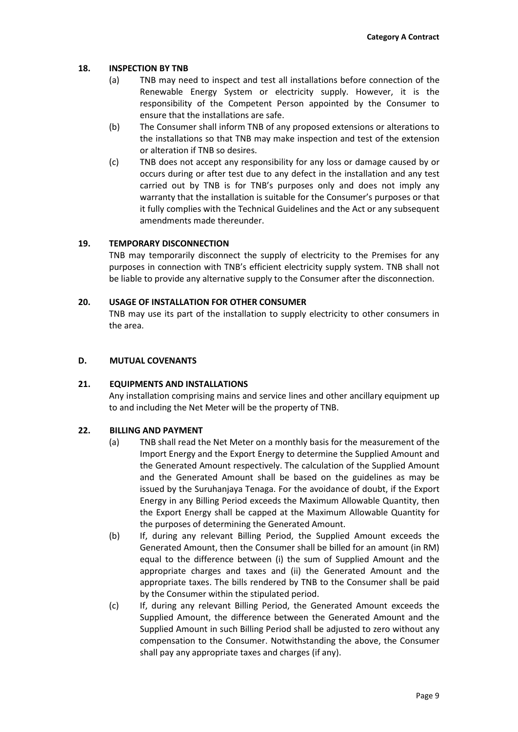## **18. INSPECTION BY TNB**

- (a) TNB may need to inspect and test all installations before connection of the Renewable Energy System or electricity supply. However, it is the responsibility of the Competent Person appointed by the Consumer to ensure that the installations are safe.
- (b) The Consumer shall inform TNB of any proposed extensions or alterations to the installations so that TNB may make inspection and test of the extension or alteration if TNB so desires.
- (c) TNB does not accept any responsibility for any loss or damage caused by or occurs during or after test due to any defect in the installation and any test carried out by TNB is for TNB's purposes only and does not imply any warranty that the installation is suitable for the Consumer's purposes or that it fully complies with the Technical Guidelines and the Act or any subsequent amendments made thereunder.

# **19. TEMPORARY DISCONNECTION**

TNB may temporarily disconnect the supply of electricity to the Premises for any purposes in connection with TNB's efficient electricity supply system. TNB shall not be liable to provide any alternative supply to the Consumer after the disconnection.

## **20. USAGE OF INSTALLATION FOR OTHER CONSUMER**

TNB may use its part of the installation to supply electricity to other consumers in the area.

## **D. MUTUAL COVENANTS**

## **21. EQUIPMENTS AND INSTALLATIONS**

Any installation comprising mains and service lines and other ancillary equipment up to and including the Net Meter will be the property of TNB.

## **22. BILLING AND PAYMENT**

- (a) TNB shall read the Net Meter on a monthly basis for the measurement of the Import Energy and the Export Energy to determine the Supplied Amount and the Generated Amount respectively. The calculation of the Supplied Amount and the Generated Amount shall be based on the guidelines as may be issued by the Suruhanjaya Tenaga. For the avoidance of doubt, if the Export Energy in any Billing Period exceeds the Maximum Allowable Quantity, then the Export Energy shall be capped at the Maximum Allowable Quantity for the purposes of determining the Generated Amount.
- (b) If, during any relevant Billing Period, the Supplied Amount exceeds the Generated Amount, then the Consumer shall be billed for an amount (in RM) equal to the difference between (i) the sum of Supplied Amount and the appropriate charges and taxes and (ii) the Generated Amount and the appropriate taxes. The bills rendered by TNB to the Consumer shall be paid by the Consumer within the stipulated period.
- (c) If, during any relevant Billing Period, the Generated Amount exceeds the Supplied Amount, the difference between the Generated Amount and the Supplied Amount in such Billing Period shall be adjusted to zero without any compensation to the Consumer. Notwithstanding the above, the Consumer shall pay any appropriate taxes and charges (if any).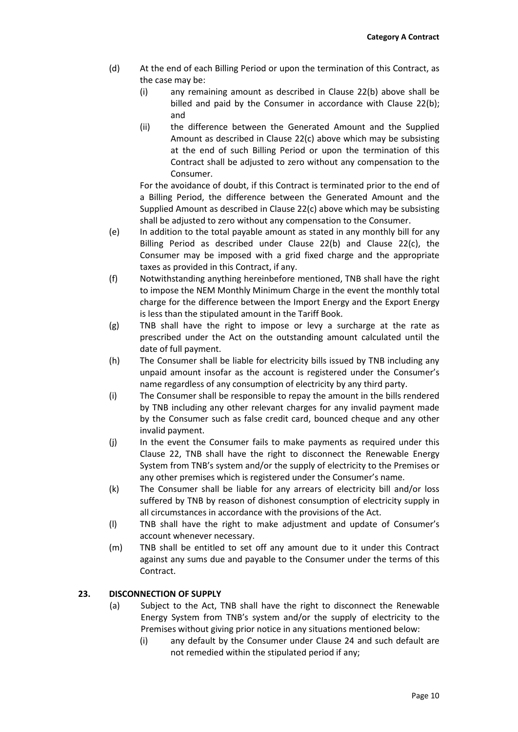- (d) At the end of each Billing Period or upon the termination of this Contract, as the case may be:
	- (i) any remaining amount as described in Clause 22(b) above shall be billed and paid by the Consumer in accordance with Clause 22(b); and
	- (ii) the difference between the Generated Amount and the Supplied Amount as described in Clause 22(c) above which may be subsisting at the end of such Billing Period or upon the termination of this Contract shall be adjusted to zero without any compensation to the Consumer.

For the avoidance of doubt, if this Contract is terminated prior to the end of a Billing Period, the difference between the Generated Amount and the Supplied Amount as described in Clause 22(c) above which may be subsisting shall be adjusted to zero without any compensation to the Consumer.

- (e) In addition to the total payable amount as stated in any monthly bill for any Billing Period as described under Clause 22(b) and Clause 22(c), the Consumer may be imposed with a grid fixed charge and the appropriate taxes as provided in this Contract, if any.
- (f) Notwithstanding anything hereinbefore mentioned, TNB shall have the right to impose the NEM Monthly Minimum Charge in the event the monthly total charge for the difference between the Import Energy and the Export Energy is less than the stipulated amount in the Tariff Book.
- (g) TNB shall have the right to impose or levy a surcharge at the rate as prescribed under the Act on the outstanding amount calculated until the date of full payment.
- (h) The Consumer shall be liable for electricity bills issued by TNB including any unpaid amount insofar as the account is registered under the Consumer's name regardless of any consumption of electricity by any third party.
- (i) The Consumer shall be responsible to repay the amount in the bills rendered by TNB including any other relevant charges for any invalid payment made by the Consumer such as false credit card, bounced cheque and any other invalid payment.
- (j) In the event the Consumer fails to make payments as required under this Clause 22, TNB shall have the right to disconnect the Renewable Energy System from TNB's system and/or the supply of electricity to the Premises or any other premises which is registered under the Consumer's name.
- (k) The Consumer shall be liable for any arrears of electricity bill and/or loss suffered by TNB by reason of dishonest consumption of electricity supply in all circumstances in accordance with the provisions of the Act.
- (l) TNB shall have the right to make adjustment and update of Consumer's account whenever necessary.
- (m) TNB shall be entitled to set off any amount due to it under this Contract against any sums due and payable to the Consumer under the terms of this Contract.

# **23. DISCONNECTION OF SUPPLY**

- (a) Subject to the Act, TNB shall have the right to disconnect the Renewable Energy System from TNB's system and/or the supply of electricity to the Premises without giving prior notice in any situations mentioned below:
	- (i) any default by the Consumer under Clause 24 and such default are not remedied within the stipulated period if any;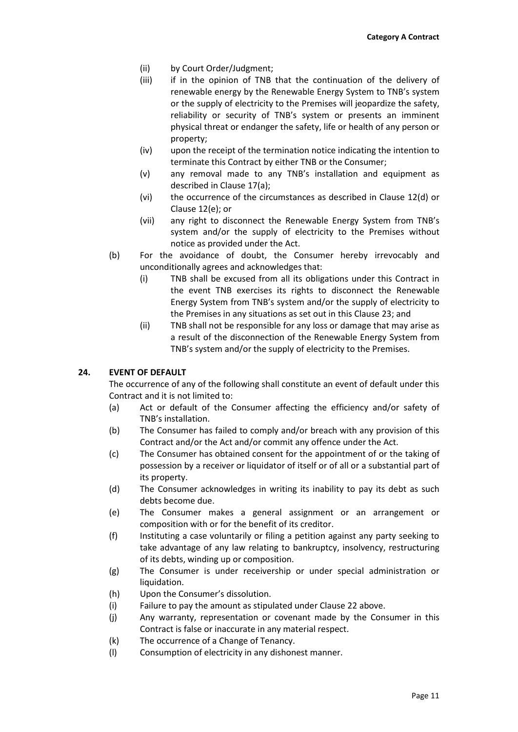- (ii) by Court Order/Judgment;
- (iii) if in the opinion of TNB that the continuation of the delivery of renewable energy by the Renewable Energy System to TNB's system or the supply of electricity to the Premises will jeopardize the safety, reliability or security of TNB's system or presents an imminent physical threat or endanger the safety, life or health of any person or property;
- (iv) upon the receipt of the termination notice indicating the intention to terminate this Contract by either TNB or the Consumer;
- (v) any removal made to any TNB's installation and equipment as described in Clause 17(a);
- (vi) the occurrence of the circumstances as described in Clause 12(d) or Clause 12(e); or
- (vii) any right to disconnect the Renewable Energy System from TNB's system and/or the supply of electricity to the Premises without notice as provided under the Act.
- (b) For the avoidance of doubt, the Consumer hereby irrevocably and unconditionally agrees and acknowledges that:
	- (i) TNB shall be excused from all its obligations under this Contract in the event TNB exercises its rights to disconnect the Renewable Energy System from TNB's system and/or the supply of electricity to the Premises in any situations as set out in this Clause 23; and
	- (ii) TNB shall not be responsible for any loss or damage that may arise as a result of the disconnection of the Renewable Energy System from TNB's system and/or the supply of electricity to the Premises.

## **24. EVENT OF DEFAULT**

The occurrence of any of the following shall constitute an event of default under this Contract and it is not limited to:

- (a) Act or default of the Consumer affecting the efficiency and/or safety of TNB's installation.
- (b) The Consumer has failed to comply and/or breach with any provision of this Contract and/or the Act and/or commit any offence under the Act.
- (c) The Consumer has obtained consent for the appointment of or the taking of possession by a receiver or liquidator of itself or of all or a substantial part of its property.
- (d) The Consumer acknowledges in writing its inability to pay its debt as such debts become due.
- (e) The Consumer makes a general assignment or an arrangement or composition with or for the benefit of its creditor.
- (f) Instituting a case voluntarily or filing a petition against any party seeking to take advantage of any law relating to bankruptcy, insolvency, restructuring of its debts, winding up or composition.
- (g) The Consumer is under receivership or under special administration or liquidation.
- (h) Upon the Consumer's dissolution.
- (i) Failure to pay the amount as stipulated under Clause 22 above.
- (j) Any warranty, representation or covenant made by the Consumer in this Contract is false or inaccurate in any material respect.
- (k) The occurrence of a Change of Tenancy.
- (l) Consumption of electricity in any dishonest manner.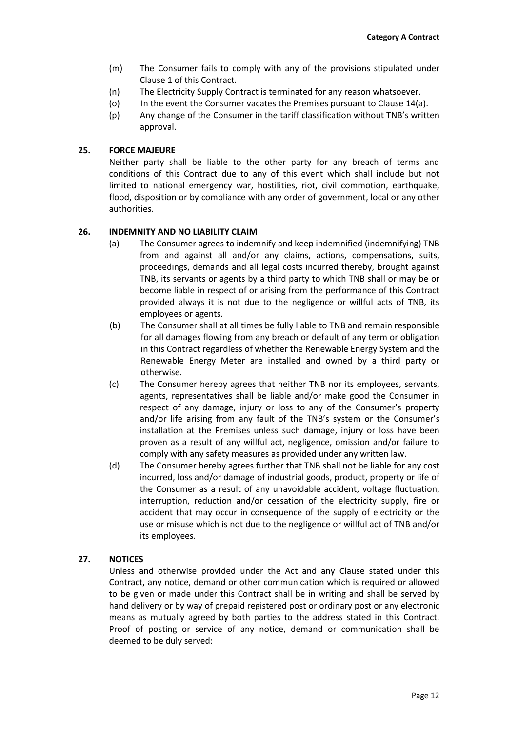- (m) The Consumer fails to comply with any of the provisions stipulated under Clause 1 of this Contract.
- (n) The Electricity Supply Contract is terminated for any reason whatsoever.
- (o) In the event the Consumer vacates the Premises pursuant to Clause 14(a).
- (p) Any change of the Consumer in the tariff classification without TNB's written approval.

## **25. FORCE MAJEURE**

Neither party shall be liable to the other party for any breach of terms and conditions of this Contract due to any of this event which shall include but not limited to national emergency war, hostilities, riot, civil commotion, earthquake, flood, disposition or by compliance with any order of government, local or any other authorities.

#### **26. INDEMNITY AND NO LIABILITY CLAIM**

- (a) The Consumer agrees to indemnify and keep indemnified (indemnifying) TNB from and against all and/or any claims, actions, compensations, suits, proceedings, demands and all legal costs incurred thereby, brought against TNB, its servants or agents by a third party to which TNB shall or may be or become liable in respect of or arising from the performance of this Contract provided always it is not due to the negligence or willful acts of TNB, its employees or agents.
- (b) The Consumer shall at all times be fully liable to TNB and remain responsible for all damages flowing from any breach or default of any term or obligation in this Contract regardless of whether the Renewable Energy System and the Renewable Energy Meter are installed and owned by a third party or otherwise.
- (c) The Consumer hereby agrees that neither TNB nor its employees, servants, agents, representatives shall be liable and/or make good the Consumer in respect of any damage, injury or loss to any of the Consumer's property and/or life arising from any fault of the TNB's system or the Consumer's installation at the Premises unless such damage, injury or loss have been proven as a result of any willful act, negligence, omission and/or failure to comply with any safety measures as provided under any written law.
- (d) The Consumer hereby agrees further that TNB shall not be liable for any cost incurred, loss and/or damage of industrial goods, product, property or life of the Consumer as a result of any unavoidable accident, voltage fluctuation, interruption, reduction and/or cessation of the electricity supply, fire or accident that may occur in consequence of the supply of electricity or the use or misuse which is not due to the negligence or willful act of TNB and/or its employees.

## **27. NOTICES**

Unless and otherwise provided under the Act and any Clause stated under this Contract, any notice, demand or other communication which is required or allowed to be given or made under this Contract shall be in writing and shall be served by hand delivery or by way of prepaid registered post or ordinary post or any electronic means as mutually agreed by both parties to the address stated in this Contract. Proof of posting or service of any notice, demand or communication shall be deemed to be duly served: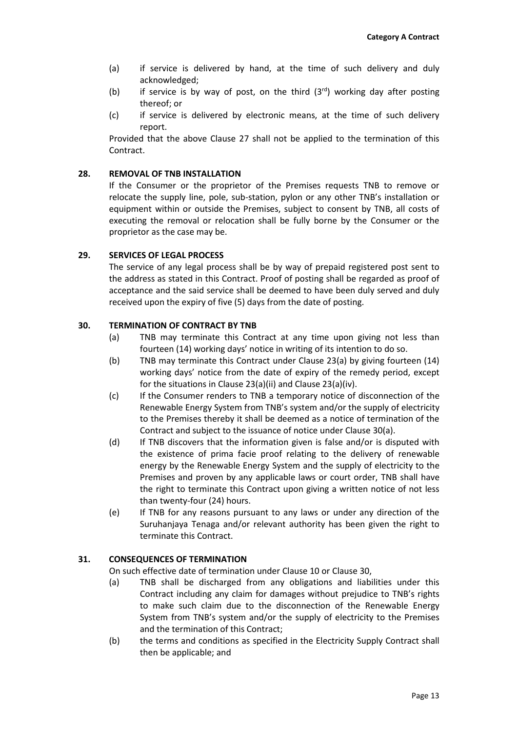- (a) if service is delivered by hand, at the time of such delivery and duly acknowledged;
- (b) if service is by way of post, on the third  $(3<sup>rd</sup>)$  working day after posting thereof; or
- (c) if service is delivered by electronic means, at the time of such delivery report.

Provided that the above Clause 27 shall not be applied to the termination of this Contract.

## **28. REMOVAL OF TNB INSTALLATION**

If the Consumer or the proprietor of the Premises requests TNB to remove or relocate the supply line, pole, sub-station, pylon or any other TNB's installation or equipment within or outside the Premises, subject to consent by TNB, all costs of executing the removal or relocation shall be fully borne by the Consumer or the proprietor as the case may be.

## **29. SERVICES OF LEGAL PROCESS**

The service of any legal process shall be by way of prepaid registered post sent to the address as stated in this Contract. Proof of posting shall be regarded as proof of acceptance and the said service shall be deemed to have been duly served and duly received upon the expiry of five (5) days from the date of posting.

## **30. TERMINATION OF CONTRACT BY TNB**

- (a) TNB may terminate this Contract at any time upon giving not less than fourteen (14) working days' notice in writing of its intention to do so.
- (b) TNB may terminate this Contract under Clause 23(a) by giving fourteen (14) working days' notice from the date of expiry of the remedy period, except for the situations in Clause 23(a)(ii) and Clause 23(a)(iv).
- (c) If the Consumer renders to TNB a temporary notice of disconnection of the Renewable Energy System from TNB's system and/or the supply of electricity to the Premises thereby it shall be deemed as a notice of termination of the Contract and subject to the issuance of notice under Clause 30(a).
- (d) If TNB discovers that the information given is false and/or is disputed with the existence of prima facie proof relating to the delivery of renewable energy by the Renewable Energy System and the supply of electricity to the Premises and proven by any applicable laws or court order, TNB shall have the right to terminate this Contract upon giving a written notice of not less than twenty-four (24) hours.
- (e) If TNB for any reasons pursuant to any laws or under any direction of the Suruhanjaya Tenaga and/or relevant authority has been given the right to terminate this Contract.

## **31. CONSEQUENCES OF TERMINATION**

On such effective date of termination under Clause 10 or Clause 30,

- (a) TNB shall be discharged from any obligations and liabilities under this Contract including any claim for damages without prejudice to TNB's rights to make such claim due to the disconnection of the Renewable Energy System from TNB's system and/or the supply of electricity to the Premises and the termination of this Contract;
- (b) the terms and conditions as specified in the Electricity Supply Contract shall then be applicable; and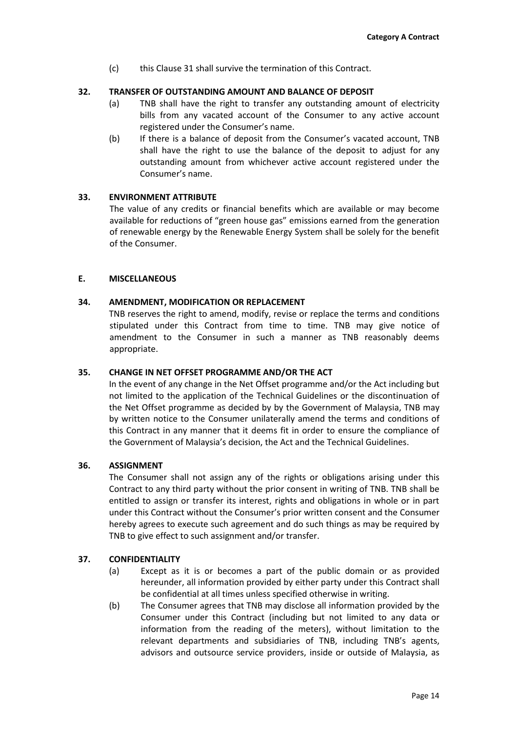(c) this Clause 31 shall survive the termination of this Contract.

# **32. TRANSFER OF OUTSTANDING AMOUNT AND BALANCE OF DEPOSIT**

- (a) TNB shall have the right to transfer any outstanding amount of electricity bills from any vacated account of the Consumer to any active account registered under the Consumer's name.
- (b) If there is a balance of deposit from the Consumer's vacated account, TNB shall have the right to use the balance of the deposit to adjust for any outstanding amount from whichever active account registered under the Consumer's name.

# **33. ENVIRONMENT ATTRIBUTE**

The value of any credits or financial benefits which are available or may become available for reductions of "green house gas" emissions earned from the generation of renewable energy by the Renewable Energy System shall be solely for the benefit of the Consumer.

## **E. MISCELLANEOUS**

# **34. AMENDMENT, MODIFICATION OR REPLACEMENT**

TNB reserves the right to amend, modify, revise or replace the terms and conditions stipulated under this Contract from time to time. TNB may give notice of amendment to the Consumer in such a manner as TNB reasonably deems appropriate.

## **35. CHANGE IN NET OFFSET PROGRAMME AND/OR THE ACT**

In the event of any change in the Net Offset programme and/or the Act including but not limited to the application of the Technical Guidelines or the discontinuation of the Net Offset programme as decided by by the Government of Malaysia, TNB may by written notice to the Consumer unilaterally amend the terms and conditions of this Contract in any manner that it deems fit in order to ensure the compliance of the Government of Malaysia's decision, the Act and the Technical Guidelines.

## **36. ASSIGNMENT**

The Consumer shall not assign any of the rights or obligations arising under this Contract to any third party without the prior consent in writing of TNB. TNB shall be entitled to assign or transfer its interest, rights and obligations in whole or in part under this Contract without the Consumer's prior written consent and the Consumer hereby agrees to execute such agreement and do such things as may be required by TNB to give effect to such assignment and/or transfer.

## **37. CONFIDENTIALITY**

- (a) Except as it is or becomes a part of the public domain or as provided hereunder, all information provided by either party under this Contract shall be confidential at all times unless specified otherwise in writing.
- (b) The Consumer agrees that TNB may disclose all information provided by the Consumer under this Contract (including but not limited to any data or information from the reading of the meters), without limitation to the relevant departments and subsidiaries of TNB, including TNB's agents, advisors and outsource service providers, inside or outside of Malaysia, as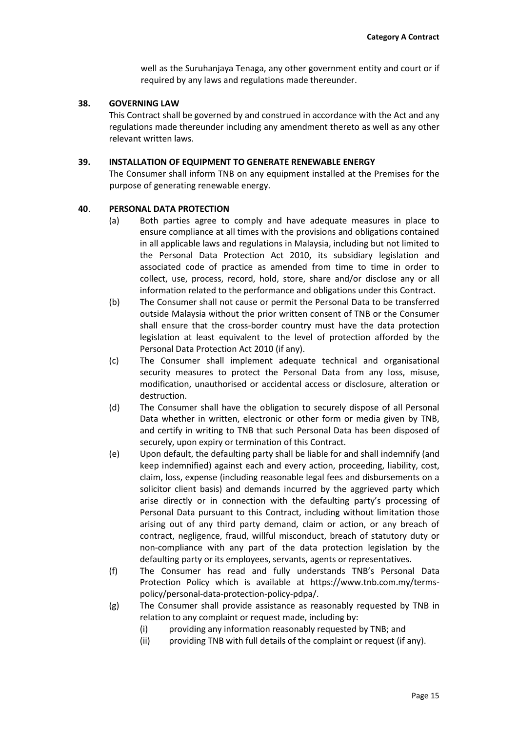well as the Suruhanjaya Tenaga, any other government entity and court or if required by any laws and regulations made thereunder.

## **38. GOVERNING LAW**

This Contract shall be governed by and construed in accordance with the Act and any regulations made thereunder including any amendment thereto as well as any other relevant written laws.

#### **39. INSTALLATION OF EQUIPMENT TO GENERATE RENEWABLE ENERGY**

The Consumer shall inform TNB on any equipment installed at the Premises for the purpose of generating renewable energy.

#### **40**. **PERSONAL DATA PROTECTION**

- (a) Both parties agree to comply and have adequate measures in place to ensure compliance at all times with the provisions and obligations contained in all applicable laws and regulations in Malaysia, including but not limited to the Personal Data Protection Act 2010, its subsidiary legislation and associated code of practice as amended from time to time in order to collect, use, process, record, hold, store, share and/or disclose any or all information related to the performance and obligations under this Contract.
- (b) The Consumer shall not cause or permit the Personal Data to be transferred outside Malaysia without the prior written consent of TNB or the Consumer shall ensure that the cross-border country must have the data protection legislation at least equivalent to the level of protection afforded by the Personal Data Protection Act 2010 (if any).
- (c) The Consumer shall implement adequate technical and organisational security measures to protect the Personal Data from any loss, misuse, modification, unauthorised or accidental access or disclosure, alteration or destruction.
- (d) The Consumer shall have the obligation to securely dispose of all Personal Data whether in written, electronic or other form or media given by TNB, and certify in writing to TNB that such Personal Data has been disposed of securely, upon expiry or termination of this Contract.
- (e) Upon default, the defaulting party shall be liable for and shall indemnify (and keep indemnified) against each and every action, proceeding, liability, cost, claim, loss, expense (including reasonable legal fees and disbursements on a solicitor client basis) and demands incurred by the aggrieved party which arise directly or in connection with the defaulting party's processing of Personal Data pursuant to this Contract, including without limitation those arising out of any third party demand, claim or action, or any breach of contract, negligence, fraud, willful misconduct, breach of statutory duty or non-compliance with any part of the data protection legislation by the defaulting party or its employees, servants, agents or representatives.
- (f) The Consumer has read and fully understands TNB's Personal Data Protection Policy which is available at [https://www.tnb.com.my/terms](https://www.tnb.com.my/terms-policy/personal-data-protection-policy-pdpa/)[policy/personal-data-protection-policy-pdpa/.](https://www.tnb.com.my/terms-policy/personal-data-protection-policy-pdpa/)
- (g) The Consumer shall provide assistance as reasonably requested by TNB in relation to any complaint or request made, including by:
	- (i) providing any information reasonably requested by TNB; and
	- (ii) providing TNB with full details of the complaint or request (if any).